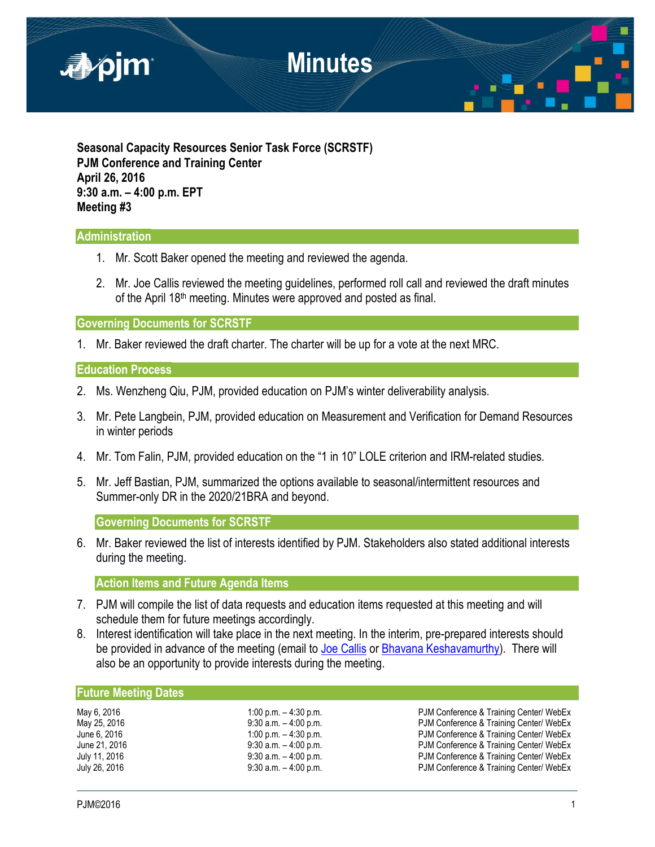

**Seasonal Capacity Resources Senior Task Force (SCRSTF) PJM Conference and Training Center April 26, 2016 9:30 a.m. – 4:00 p.m. EPT Meeting #3**

# **Administration**

- 1. Mr. Scott Baker opened the meeting and reviewed the agenda.
- 2. Mr. Joe Callis reviewed the meeting guidelines, performed roll call and reviewed the draft minutes of the April 18th meeting. Minutes were approved and posted as final.

**Governing Documents for SCRSTF** 

1. Mr. Baker reviewed the draft charter. The charter will be up for a vote at the next MRC.

## **Education Process**

- 2. Ms. Wenzheng Qiu, PJM, provided education on PJM's winter deliverability analysis.
- 3. Mr. Pete Langbein, PJM, provided education on Measurement and Verification for Demand Resources in winter periods
- 4. Mr. Tom Falin, PJM, provided education on the "1 in 10" LOLE criterion and IRM-related studies.
- 5. Mr. Jeff Bastian, PJM, summarized the options available to seasonal/intermittent resources and Summer-only DR in the 2020/21BRA and beyond.

**Governing Documents for SCRSTF** 

6. Mr. Baker reviewed the list of interests identified by PJM. Stakeholders also stated additional interests during the meeting.

**Action Items and Future Agenda Items**

- 7. PJM will compile the list of data requests and education items requested at this meeting and will schedule them for future meetings accordingly.
- 8. Interest identification will take place in the next meeting. In the interim, pre-prepared interests should be provided in advance of the meeting (email to [Joe Callis](mailto:Joseph.Callis@pjm.com?subject=SCRSTF%20Stakeholder%20interests) or [Bhavana Keshavamurthy\)](mailto:Bhavana.Murthy@pjm.com?subject=SCRSTF%20Stakeholder%20interests). There will also be an opportunity to provide interests during the meeting.

## **Future Meeting Dates**

| May 6, 2016   |  |  |
|---------------|--|--|
| May 25, 2016  |  |  |
| June 6, 2016  |  |  |
| June 21, 2016 |  |  |
| July 11, 2016 |  |  |
| July 26. 2016 |  |  |

1:00 p.m. – 4:30 p.m.<br>
9:30 a.m. – 4:00 p.m.<br>
PJM Conference & Training Center/ WebEx 9:30 a.m. – 4:00 p.m.<br>1:00 p.m. – 4:30 p.m. PJM Conference & Training Center/ WebEx PJM Conference & Training Center/ WebEx 9:30 a.m. - 4:00 p.m. example 21 PJM Conference & Training Center/ WebEx 9:30 a.m. – 4:00 p.m.<br>9:30 a.m. – 4:00 p.m. PJM Conference & Training Center/ WebEx PJM Conference & Training Center/ WebEx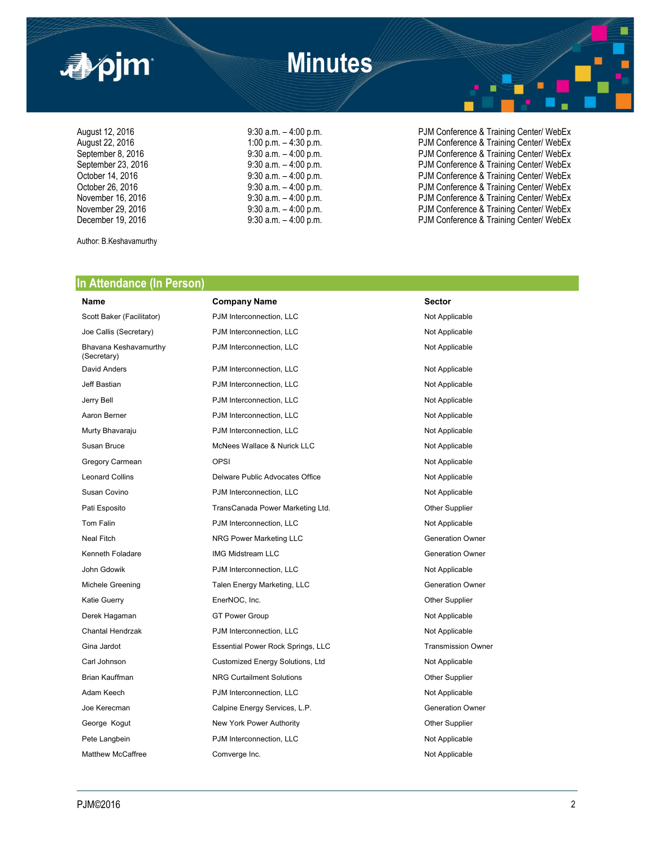

August 12, 2016 <br>August 22, 2016 **9:30 a.m.** – 4:00 p.m. – 4:30 p.m. PJM Conference & Training Center/ WebEx<br>PJM Conference & Training Center/ WebEx August 22, 2016 **1:00 p.m. – 4:30 p.m.** – 4:30 p.m. PJM Conference & Training Center/ WebEx<br>
9:30 a.m. – 4:00 p.m. PJM Conference & Training Center/ WebEx September 8, 2016 **9:30 a.m.** – 4:00 p.m. PJM Conference & Training Center/ WebEx September 23, 2016 **9:30 a.m.** – 4:00 p.m. **PJM Conference & Training Center/ WebEx**<br>19:30 a.m. – 4:00 p.m. PJM Conference & Training Center/ WebEx October 14, 2016 **9:30 a.m.** – 4:00 p.m. PJM Conference & Training Center/ WebEx<br>October 26, 2016 **9:30 a.m.** – 4:00 p.m. PJM Conference & Training Center/ WebEx October 26, 2016 **9:30 a.m.** – 4:00 p.m. PJM Conference & Training Center/ WebEx<br>
9:30 a.m. – 4:00 p.m. PJM Conference & Training Center/ WebEx 9:30 a.m. - 4:00 p.m. example 16 and 2016 PJM Conference & Training Center/ WebEx November 29, 2016 **19:30 a.m.** – 4:00 p.m. **PJM Conference & Training Center/ WebEx** December 19, 2016 **19:30 a.m.** – 4:00 p.m. **PJM Conference & Training Center/ WebEx** 

Author: B.Keshavamurthy

### **In Attendance (In Person)**

# Bhavana Keshavamurthy (Secretary)

**Name Company Name Company Name Sector** Scott Baker (Facilitator) **PJM Interconnection, LLC** Not Applicable Joe Callis (Secretary) **PJM** Interconnection, LLC Not Applicable PJM Interconnection, LLC Not Applicable David Anders **PJM Interconnection, LLC** Not Applicable Jeff Bastian **PJM Interconnection, LLC** Not Applicable Not Applicable Jerry Bell PJM Interconnection, LLC Not Applicable Aaron Berner **Not Applicable** PJM Interconnection, LLC Not Applicable Not Applicable Murty Bhavaraju **Number 2018** PJM Interconnection, LLC Not Applicable Not Applicable Susan Bruce **MCNees Wallace & Nurick LLC** Not Applicable Gregory Carmean **OPSI** OPSI Not Applicable Leonard Collins **Delware Public Advocates Office** Not Applicable Susan Covino **Noting the Covincit Coving Covincit Covincit Covincit Covincit PJM Interconnection, LLC** Not Applicable Pati Esposito **TransCanada Power Marketing Ltd.** Other Supplier Tom Falin **PJM Interconnection, LLC** Not Applicable Neal Fitch **NRG Power Marketing LLC** Neal Fitch **Generation Owner** Kenneth Foladare **IMG Midstream LLC** Generation Owner John Gdowik **PJM Interconnection, LLC** Not Applicable Michele Greening Talen Energy Marketing, LLC Generation Owner Katie Guerry **EnerNOC, Inc.** Change of the Supplier Change of the Supplier Derek Hagaman GT Power Group Not Applicable Not Applicable Chantal Hendrzak **PJM Interconnection, LLC** Not Applicable Gina Jardot **Essential Power Rock Springs, LLC** Transmission Owner Contact Transmission Owner Carl Johnson **Customized Energy Solutions, Ltd** Not Applicable Brian Kauffman **NRG Curtailment Solutions NRG Curtailment Solutions Current Solutions** Other Supplier Adam Keech **PJM Interconnection, LLC** Not Applicable Not Applicable Joe Kerecman **Calpine Energy Services, L.P.** Generation Owner George Kogut **New York Power Authority New York Power Authority CHO CHO CHO CHO CHO CHO CHO CHO CHO CHO CHO CHO CHO CHO CHO CHO CHO CHO CHO CHO CHO CHO CHO CHO CHO CHO** Pete Langbein **PJM Interconnection, LLC** Not Applicable

# Matthew McCaffree **Comverge Inc.** Comverge Inc. Not Applicable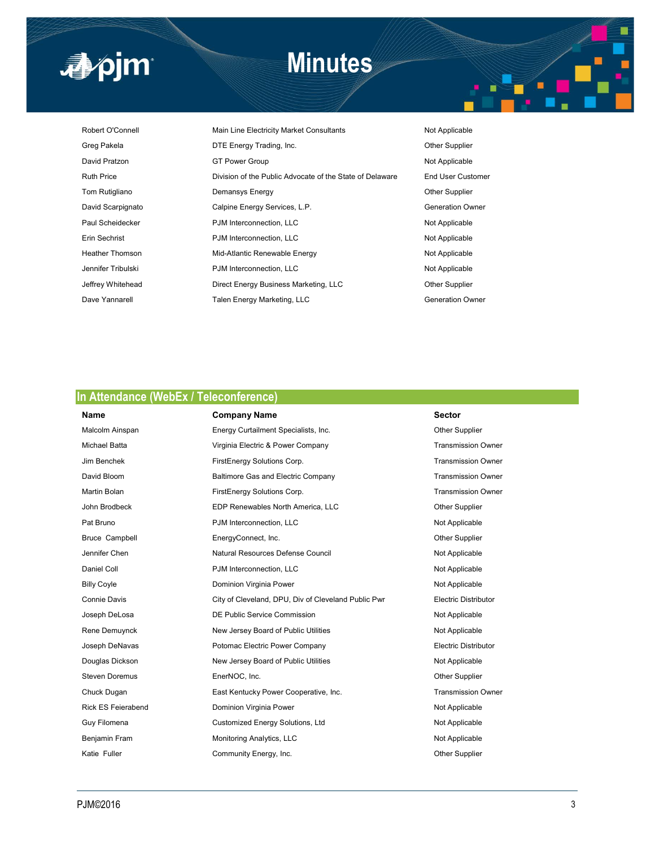

# **Minutes**

Robert O'Connell **Main Line Electricity Market Consultants** Not Applicable Greg Pakela **DTE Energy Trading, Inc. CHA CORP CONTER SUPPLIER** David Pratzon **GT Power Group** CT Power Group **Not Applicable** Ruth Price **Division of the Public Advocate of the State of Delaware** End User Customer Tom Rutigliano **Demansys Energy Community Community** Other Supplier David Scarpignato **Calpine Energy Services, L.P.** Calpine Energy Services, L.P. Paul Scheidecker **PJM Interconnection, LLC** Not Applicable Erin Sechrist **PJM Interconnection, LLC** Not Applicable Heather Thomson **Mid-Atlantic Renewable Energy Not Applicable** Jennifer Tribulski **PJM Interconnection, LLC** Not Applicable Jeffrey Whitehead **Direct Energy Business Marketing, LLC Charging Other Supplier** Dave Yannarell **Talen Energy Marketing, LLC** Communication Owner

## **In Attendance (WebEx / Teleconference)**

| Name                  | <b>Company Name</b>                                 | <b>Sector</b>               |
|-----------------------|-----------------------------------------------------|-----------------------------|
| Malcolm Ainspan       | Energy Curtailment Specialists, Inc.                | Other Supplier              |
| <b>Michael Batta</b>  | Virginia Electric & Power Company                   | <b>Transmission Owner</b>   |
| Jim Benchek           | FirstEnergy Solutions Corp.                         | <b>Transmission Owner</b>   |
| David Bloom           | Baltimore Gas and Electric Company                  | <b>Transmission Owner</b>   |
| Martin Bolan          | FirstEnergy Solutions Corp.                         | <b>Transmission Owner</b>   |
| John Brodbeck         | EDP Renewables North America, LLC                   | Other Supplier              |
| Pat Bruno             | PJM Interconnection, LLC                            | Not Applicable              |
| Bruce Campbell        | EnergyConnect, Inc.                                 | Other Supplier              |
| Jennifer Chen         | Natural Resources Defense Council                   | Not Applicable              |
| Daniel Coll           | PJM Interconnection, LLC                            | Not Applicable              |
| <b>Billy Coyle</b>    | Dominion Virginia Power                             | Not Applicable              |
| Connie Davis          | City of Cleveland, DPU, Div of Cleveland Public Pwr | <b>Electric Distributor</b> |
| Joseph DeLosa         | DE Public Service Commission                        | Not Applicable              |
| Rene Demuynck         | New Jersey Board of Public Utilities                | Not Applicable              |
| Joseph DeNavas        | Potomac Electric Power Company                      | <b>Electric Distributor</b> |
| Douglas Dickson       | New Jersey Board of Public Utilities                | Not Applicable              |
| <b>Steven Doremus</b> | EnerNOC, Inc.                                       | Other Supplier              |
| Chuck Dugan           | East Kentucky Power Cooperative, Inc.               | <b>Transmission Owner</b>   |
| Rick ES Feierabend    | Dominion Virginia Power                             | Not Applicable              |
| Guy Filomena          | Customized Energy Solutions, Ltd                    | Not Applicable              |
| Benjamin Fram         | Monitoring Analytics, LLC                           | Not Applicable              |
| Katie Fuller          | Community Energy, Inc.                              | <b>Other Supplier</b>       |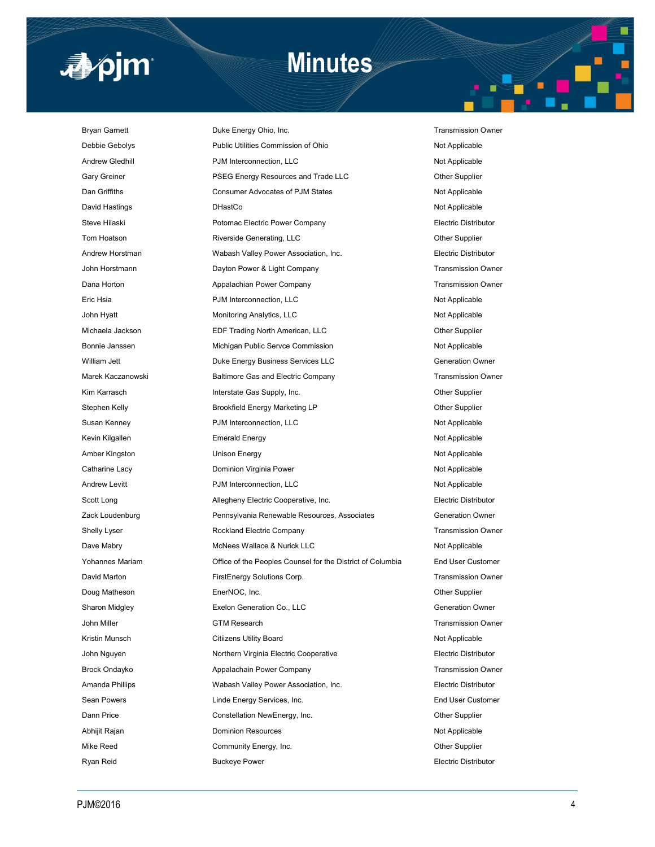

# **Minutes**

Bryan Garnett **Duke Energy Ohio, Inc.** Transmission Owner Debbie Gebolys **Public Utilities Commission of Ohio** Not Applicable Andrew Gledhill **Andrew Gledhill** PJM Interconnection, LLC **Not Applicable** Not Applicable Gary Greiner **PSEG Energy Resources and Trade LLC** Other Supplier Dan Griffiths **Consumer Advocates of PJM States** Not Applicable David Hastings **DHastCo DHastCo Not Applicable** Not Applicable Steve Hilaski Potomac Electric Power Company Electric Distributor Tom Hoatson **Riverside Generating, LLC Community** Current Cupplier Supplier Andrew Horstman **Mathem Christman** Wabash Valley Power Association, Inc. **Electric Distributor** John Horstmann **Dayton Power & Light Company Company** Transmission Owner Dana Horton **Appalachian Power Company Transmission Owner** Company Transmission Owner Eric Hsia Not Applicable **PJM Interconnection, LLC** Not Applicable Not Applicable John Hyatt **Monitoring Analytics, LLC** Not Applicable Not Applicable Michaela Jackson **EDF Trading North American, LLC Channel American**, CLC **Channel American** Bonnie Janssen **Michigan Public Servce Commission** Not Applicable Not Applicable William Jett **Duke Energy Business Services LLC** Generation Owner Marek Kaczanowski **Baltimore Gas and Electric Company** Transmission Owner Kim Karrasch **Interstate Gas Supply, Inc.** Charles Communication of the Supplier Stephen Kelly **Brookfield Energy Marketing LP Charges Constructed Brookfield Energy Marketing LP Charges** Construction Construction Construction Construction Construction Construction Construction Construction Construc Susan Kenney **PJM Interconnection, LLC** Not Applicable Not Applicable Kevin Kilgallen **Emerald Energy** Not Applicable Not Applicable Amber Kingston **Not Applicable** Unison Energy Not Applicable Not Applicable Catharine Lacy **Dominion Virginia Power** Not Applicable Not Applicable Andrew Levitt **Andrew Levitt** PJM Interconnection, LLC **Not Applicable** Not Applicable Scott Long **Allegheny Electric Cooperative, Inc.** Electric Distributor Zack Loudenburg Pennsylvania Renewable Resources, Associates Generation Owner Shelly Lyser **Rockland Electric Company Company** Transmission Owner Dave Mabry **McNees Wallace & Nurick LLC** Not Applicable Yohannes Mariam Office of the Peoples Counsel for the District of Columbia End User Customer David Marton FirstEnergy Solutions Corp. Transmission Owner Doug Matheson **EnerNOC, Inc.** EnerNOC, Inc. **COMET Supplier** Sharon Midgley **Exelon Generation Co., LLC** Sharon Midgley Generation Owner John Miller GTM Research Transmission Owner Kristin Munsch **Not Applicable** Citizens Utility Board Not Applicable Not Applicable John Nguyen Northern Virginia Electric Cooperative Electric Distributor Electric Distributor Brock Ondayko **Appalachain Power Company** Transmission Owner Amanda Phillips Wabash Valley Power Association, Inc. Electric Distributor Sean Powers Linde Energy Services, Inc. End User Customer Dann Price Constellation NewEnergy, Inc. Other Supplier Abhijit Rajan **Not Applicable** Dominion Resources **Not Applicable** Not Applicable Mike Reed **Community Energy, Inc.** Community Energy, Inc. Changes are the Community Energy, Inc. Ryan Reid **Buckeye Power Electric Distributor** Electric Distributor